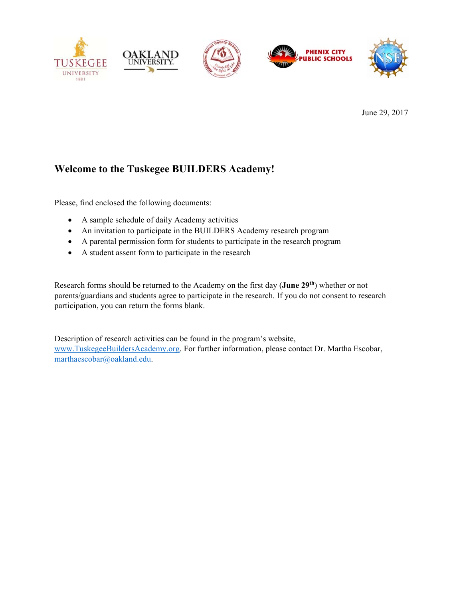

June 29, 2017

# **Welcome to the Tuskegee BUILDERS Academy!**

Please, find enclosed the following documents:

- A sample schedule of daily Academy activities
- An invitation to participate in the BUILDERS Academy research program
- A parental permission form for students to participate in the research program
- A student assent form to participate in the research

Research forms should be returned to the Academy on the first day (**June 29th**) whether or not parents/guardians and students agree to participate in the research. If you do not consent to research participation, you can return the forms blank.

Description of research activities can be found in the program's website, www.TuskegeeBuildersAcademy.org. For further information, please contact Dr. Martha Escobar, marthaescobar@oakland.edu.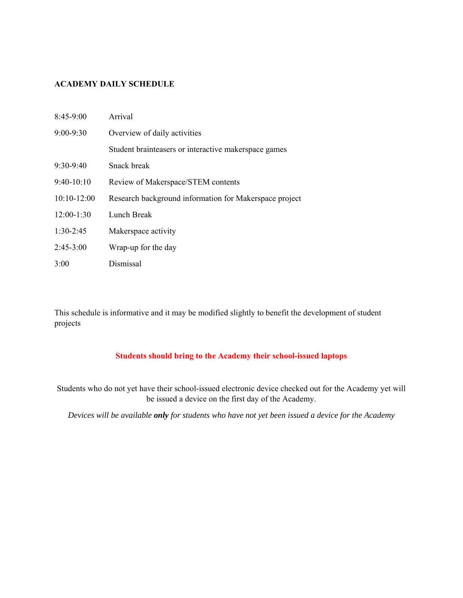# **ACADEMY DAILY SCHEDULE**

| $8:45-9:00$   | Arrival                                                |
|---------------|--------------------------------------------------------|
| 9:00-9:30     | Overview of daily activities                           |
|               | Student brainteasers or interactive makerspace games   |
| $9:30-9:40$   | Snack break                                            |
| $9:40-10:10$  | Review of Makerspace/STEM contents                     |
| $10:10-12:00$ | Research background information for Makerspace project |
| $12:00-1:30$  | Lunch Break                                            |
| $1:30-2:45$   | Makerspace activity                                    |
| $2:45-3:00$   | Wrap-up for the day                                    |
| 3:00          | Dismissal                                              |

This schedule is informative and it may be modified slightly to benefit the development of student projects

# **Students should bring to the Academy their school-issued laptops**

Students who do not yet have their school-issued electronic device checked out for the Academy yet will be issued a device on the first day of the Academy.

*Devices will be available only for students who have not yet been issued a device for the Academy*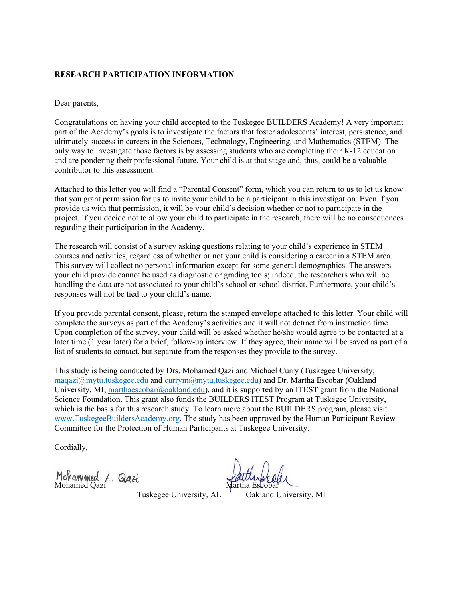# **RESEARCH PARTICIPATION INFORMATION**

#### Dear parents,

Congratulations on having your child accepted to the Tuskegee BUILDERS Academy! A very important part of the Academy's goals is to investigate the factors that foster adolescents' interest, persistence, and ultimately success in careers in the Sciences, Technology, Engineering, and Mathematics (STEM). The only way to investigate those factors is by assessing students who are completing their K-12 education and are pondering their professional future. Your child is at that stage and, thus, could be a valuable contributor to this assessment.

Attached to this letter you will find a "Parental Consent" form, which you can return to us to let us know that you grant permission for us to invite your child to be a participant in this investigation. Even if you provide us with that permission, it will be your child's decision whether or not to participate in the project. If you decide not to allow your child to participate in the research, there will be no consequences regarding their participation in the Academy.

The research will consist of a survey asking questions relating to your child's experience in STEM courses and activities, regardless of whether or not your child is considering a career in a STEM area. This survey will collect no personal information except for some general demographics. The answers your child provide cannot be used as diagnostic or grading tools; indeed, the researchers who will be handling the data are not associated to your child's school or school district. Furthermore, your child's responses will not be tied to your child's name.

If you provide parental consent, please, return the stamped envelope attached to this letter. Your child will complete the surveys as part of the Academy's activities and it will not detract from instruction time. Upon completion of the survey, your child will be asked whether he/she would agree to be contacted at a later time (1 year later) for a brief, follow-up interview. If they agree, their name will be saved as part of a list of students to contact, but separate from the responses they provide to the survey.

This study is being conducted by Drs. Mohamed Qazi and Michael Curry (Tuskegee University; maqazi@mytu.tuskegee.edu and currym@mytu.tuskegee.edu) and Dr. Martha Escobar (Oakland University, MI; marthaescobar@oakland.edu), and it is supported by an ITEST grant from the National Science Foundation. This grant also funds the BUILDERS ITEST Program at Tuskegee University, which is the basis for this research study. To learn more about the BUILDERS program, please visit www.TuskegeeBuildersAcademy.org. The study has been approved by the Human Participant Review Committee for the Protection of Human Participants at Tuskegee University.

Cordially,

Mohammed A. Qazi

Tuskegee University, AL Cakland University, MI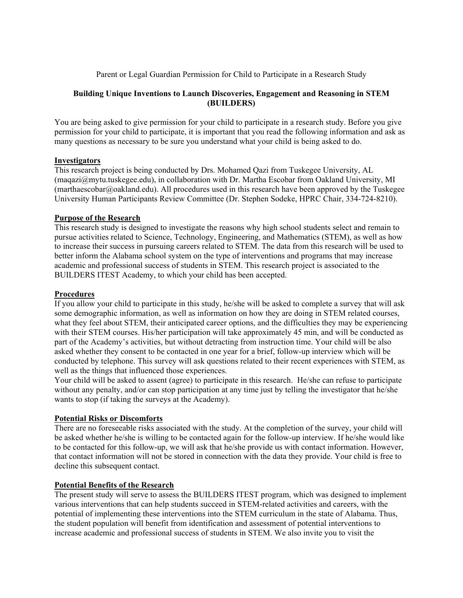Parent or Legal Guardian Permission for Child to Participate in a Research Study

# **Building Unique Inventions to Launch Discoveries, Engagement and Reasoning in STEM (BUILDERS)**

You are being asked to give permission for your child to participate in a research study. Before you give permission for your child to participate, it is important that you read the following information and ask as many questions as necessary to be sure you understand what your child is being asked to do.

## **Investigators**

This research project is being conducted by Drs. Mohamed Qazi from Tuskegee University, AL (maqazi@mytu.tuskegee.edu), in collaboration with Dr. Martha Escobar from Oakland University, MI (marthaescobar@oakland.edu). All procedures used in this research have been approved by the Tuskegee University Human Participants Review Committee (Dr. Stephen Sodeke, HPRC Chair, 334-724-8210).

## **Purpose of the Research**

This research study is designed to investigate the reasons why high school students select and remain to pursue activities related to Science, Technology, Engineering, and Mathematics (STEM), as well as how to increase their success in pursuing careers related to STEM. The data from this research will be used to better inform the Alabama school system on the type of interventions and programs that may increase academic and professional success of students in STEM. This research project is associated to the BUILDERS ITEST Academy, to which your child has been accepted.

### **Procedures**

If you allow your child to participate in this study, he/she will be asked to complete a survey that will ask some demographic information, as well as information on how they are doing in STEM related courses, what they feel about STEM, their anticipated career options, and the difficulties they may be experiencing with their STEM courses. His/her participation will take approximately 45 min, and will be conducted as part of the Academy's activities, but without detracting from instruction time. Your child will be also asked whether they consent to be contacted in one year for a brief, follow-up interview which will be conducted by telephone. This survey will ask questions related to their recent experiences with STEM, as well as the things that influenced those experiences.

Your child will be asked to assent (agree) to participate in this research. He/she can refuse to participate without any penalty, and/or can stop participation at any time just by telling the investigator that he/she wants to stop (if taking the surveys at the Academy).

#### **Potential Risks or Discomforts**

There are no foreseeable risks associated with the study. At the completion of the survey, your child will be asked whether he/she is willing to be contacted again for the follow-up interview. If he/she would like to be contacted for this follow-up, we will ask that he/she provide us with contact information. However, that contact information will not be stored in connection with the data they provide. Your child is free to decline this subsequent contact.

## **Potential Benefits of the Research**

The present study will serve to assess the BUILDERS ITEST program, which was designed to implement various interventions that can help students succeed in STEM-related activities and careers, with the potential of implementing these interventions into the STEM curriculum in the state of Alabama. Thus, the student population will benefit from identification and assessment of potential interventions to increase academic and professional success of students in STEM. We also invite you to visit the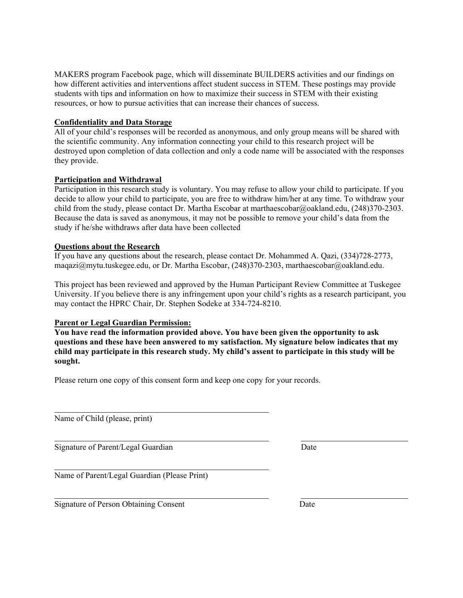MAKERS program Facebook page, which will disseminate BUILDERS activities and our findings on how different activities and interventions affect student success in STEM. These postings may provide students with tips and information on how to maximize their success in STEM with their existing resources, or how to pursue activities that can increase their chances of success.

# **Confidentiality and Data Storage**

All of your child's responses will be recorded as anonymous, and only group means will be shared with the scientific community. Any information connecting your child to this research project will be destroyed upon completion of data collection and only a code name will be associated with the responses they provide.

## **Participation and Withdrawal**

Participation in this research study is voluntary. You may refuse to allow your child to participate. If you decide to allow your child to participate, you are free to withdraw him/her at any time. To withdraw your child from the study, please contact Dr. Martha Escobar at marthaescobar@oakland.edu, (248)370-2303. Because the data is saved as anonymous, it may not be possible to remove your child's data from the study if he/she withdraws after data have been collected

## **Questions about the Research**

If you have any questions about the research, please contact Dr. Mohammed A. Qazi, (334)728-2773, maqazi@mytu.tuskegee.edu, or Dr. Martha Escobar, (248)370-2303, marthaescobar@oakland.edu.

This project has been reviewed and approved by the Human Participant Review Committee at Tuskegee University. If you believe there is any infringement upon your child's rights as a research participant, you may contact the HPRC Chair, Dr. Stephen Sodeke at 334-724-8210.

## **Parent or Legal Guardian Permission:**

**You have read the information provided above. You have been given the opportunity to ask questions and these have been answered to my satisfaction. My signature below indicates that my child may participate in this research study. My child's assent to participate in this study will be sought.** 

Please return one copy of this consent form and keep one copy for your records.

Name of Child (please, print)

l

l

l

l

Signature of Parent/Legal Guardian Date

Name of Parent/Legal Guardian (Please Print)

Signature of Person Obtaining Consent Date